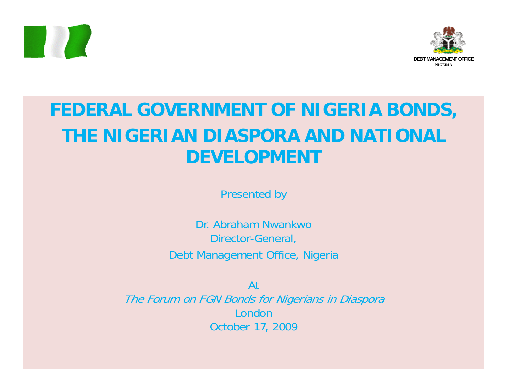



### **FEDERAL GOVERNMENT OF NIGERIA BONDS, THE NIGERIAN DIASPORA AND NATIONAL DEVELOPMENT**

Presented by

Dr. Abraham Nwankwo Director-General, Debt Management Office, Nigeria

At

The Forum on FGN Bonds for Nigerians in Diaspora LondonOctober 17, 2009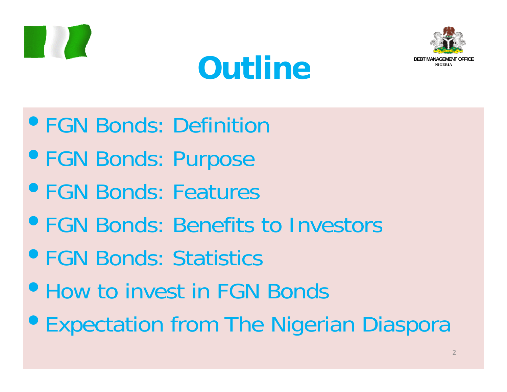





- **FGN Bonds: Definition**
- FGN Bonds: Purpose
- **FGN Bonds: Features**
- **FGN Bonds: Benefits to Investors**
- **FGN Bonds: Statistics**
- How to invest in FGN Bonds
- **Expectation from The Nigerian Diaspora**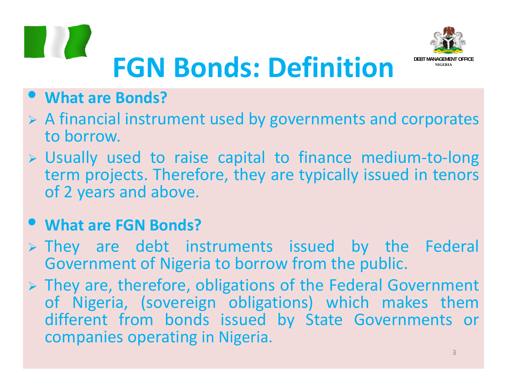



#### $\bullet$ **What are Bonds?**

- $\triangleright$  A financial instrument used by governments and corporates to borrow.
- ¾ Usually used to raise capital to finance medium‐to‐long term projects. Therefore, they are typically issued in tenors of 2 years and above.

#### $\bullet$ **P** What are FGN Bonds?

- ¾ They are debt instruments issued by the Federal Government of Nigeria to borrow from the public.
- $\triangleright$  They are, therefore, obligations of the Federal Government of Nigeria, (sovereign obligations) which makes them different from bonds issued by State Governments or companies operating in Nigeria.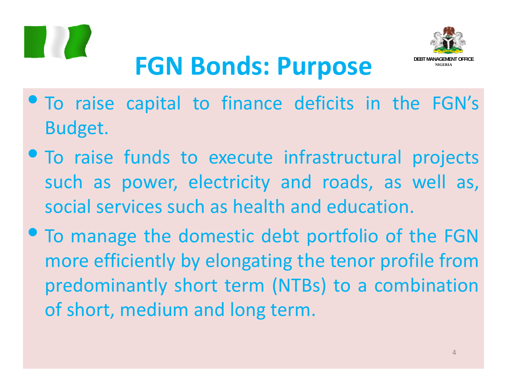



## **FGN Bonds: Purpose**

- To raise capital to finance deficits in the FGN's Budget.
- To raise funds to execute infrastructural projects such as power, electricity and roads, as well as, social services such as health and education.
- $\bullet$  To manage the domestic debt portfolio of the FGN more efficiently by elong ating the tenor profile from predominantly short term (NTBs) to <sup>a</sup> combination of short, medium and long term.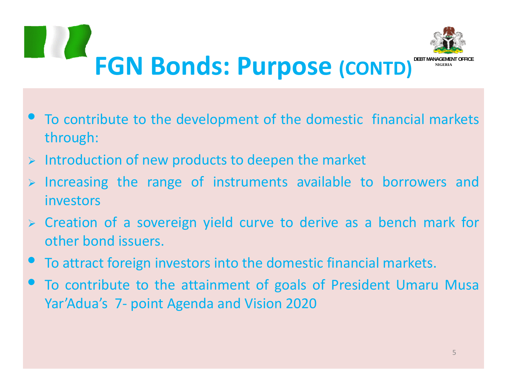

- $\bullet$  $\bullet$  To contribute to the development of the domestic financial markets through:
- ¾Introduction of new products to deepen the market
- ¾ Increasing the range of instruments available to borrowers and investors
- ¾ Creation of <sup>a</sup> sovereign yield curve to derive as <sup>a</sup> bench mark for other bond issuers.
- $\bullet$ To attract foreign investors into the domestic financial markets.
- $\bullet$  To contribute to the attainment of goals of President Umaru Musa Yar'Adua's 7‐ point Agenda and Vision 2020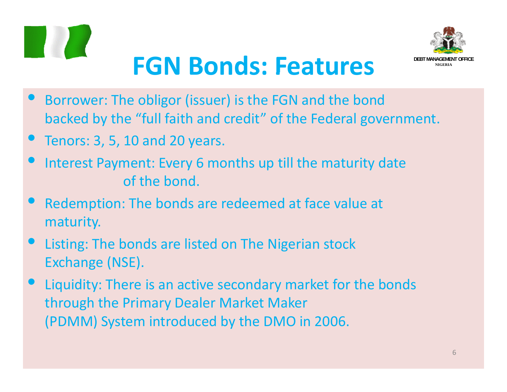



- $\bullet$  Borrower: The obligor (issuer) is the FGN and the bond backed by the "full faith and credit" of the Federal government.
- $\bullet$ Tenors: 3, 5, 10 and 20 years.
- $\bullet$  Interest Payment: Every 6 months up till the maturity date of the bond.
- $\bullet$  Redemption: The bonds are redeemed at face value at maturity.
- $\bullet$  Listing: The bonds are listed on The Nigerian stock Exchange (NSE).
- $\bullet$  Liquidity: There is an active secondary market for the bonds through the Primary Dealer Market Maker (PDMM) System introduced by the DMO in 2006.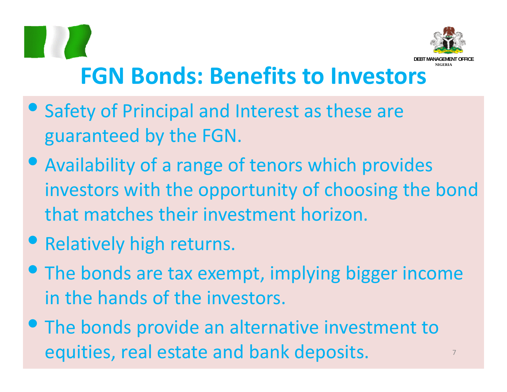

- Safety of Principal and Interest as these are guaranteed by the FGN.
- Availability of <sup>a</sup> range of tenors which provides investors with the opportunity of choosing the bond that matches their investment horizon.
- **Relatively high returns.**
- The bonds are tax exempt, implying bigger income in the hands of the investors.
- **The bonds provide an alternative investment to** equities, real estate and bank deposits. <sup>7</sup>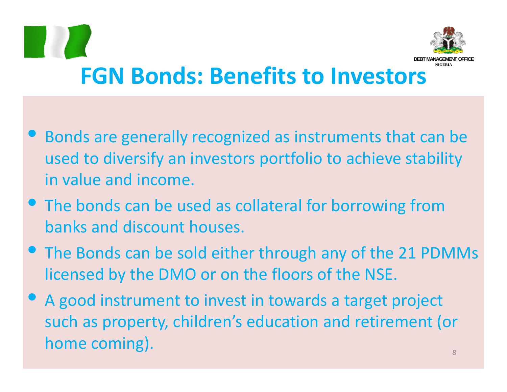

- $\bullet$  Bonds are generally recognized as instruments that can be used to diversify an investors portfolio to achieve stability in value and income.
- **The bonds can be used as collateral for borrowing from** banks and discount houses.
- The Bonds can be sold either through any of the 21 PDMMs licensed by the DMO or on the floors of the NSE.
- A good instrument to invest in towards <sup>a</sup> target project such as property, children's education and retirement (or  $\hbox{\bf home coming).} \hspace{2cm} \hbox{\bf home coming}.$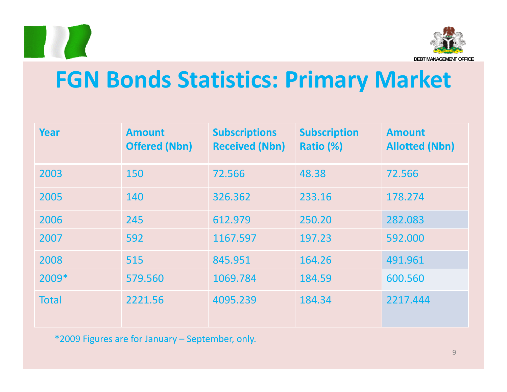



### **FGN B d on <sup>s</sup> S ii tat stics: P ir mary M k ar et**

| <b>Year</b>  | <b>Amount</b><br><b>Offered (Nbn)</b> | <b>Subscriptions</b><br><b>Received (Nbn)</b> | <b>Subscription</b><br>Ratio (%) | <b>Amount</b><br><b>Allotted (Nbn)</b> |
|--------------|---------------------------------------|-----------------------------------------------|----------------------------------|----------------------------------------|
| 2003         | 150                                   | 72.566                                        | 48.38                            | 72.566                                 |
| 2005         | 140                                   | 326.362                                       | 233.16                           | 178.274                                |
| 2006         | 245                                   | 612.979                                       | 250.20                           | 282.083                                |
| 2007         | 592                                   | 1167.597                                      | 197.23                           | 592.000                                |
| 2008         | 515                                   | 845.951                                       | 164.26                           | 491.961                                |
| 2009*        | 579.560                               | 1069.784                                      | 184.59                           | 600.560                                |
| <b>Total</b> | 2221.56                               | 4095.239                                      | 184.34                           | 2217.444                               |

\*2009 Figures are for January – September, only.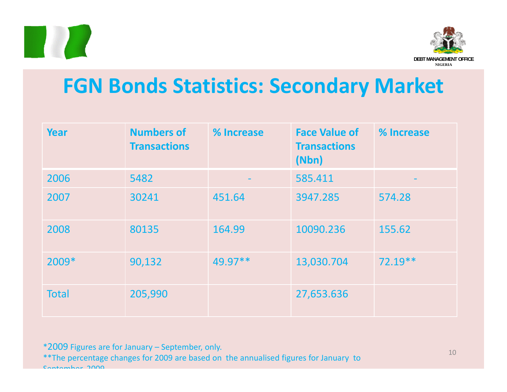



### **FGN Bonds Statistics: Secondary Market**

| Year         | <b>Numbers of</b><br><b>Transactions</b> | % Increase | <b>Face Value of</b><br><b>Transactions</b><br>(Nbn) | % Increase |
|--------------|------------------------------------------|------------|------------------------------------------------------|------------|
| 2006         | 5482                                     |            | 585.411                                              |            |
| 2007         | 30241                                    | 451.64     | 3947.285                                             | 574.28     |
| 2008         | 80135                                    | 164.99     | 10090.236                                            | 155.62     |
| 2009*        | 90,132                                   | $49.97**$  | 13,030.704                                           | $72.19**$  |
| <b>Total</b> | 205,990                                  |            | 27,653.636                                           |            |

\*2009 Figures are for January – September, only.

\*\*The percentage changes for 2009 are based on the annualised figures for January to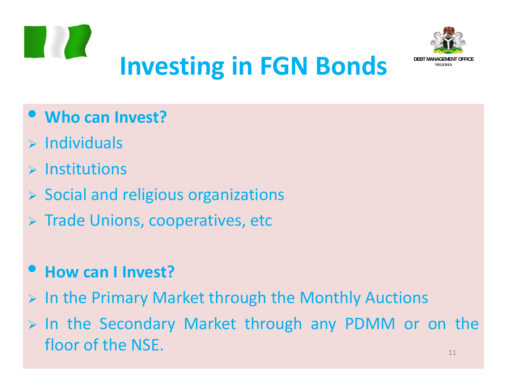



### $\bullet$ **Who can Invest?**

- $\triangleright$  Individuals
- $\triangleright$  Institutions
- ¾ Social and religious organizations
- $\triangleright$  Trade Unions, cooperatives, etc

#### $\bullet$ **How can I Invest?**

- $\triangleright$  In the Primary Market through the Monthly Auctions
- $\triangleright$  In the Secondary Market through any PDMM or on the floor of the NSE. $11$